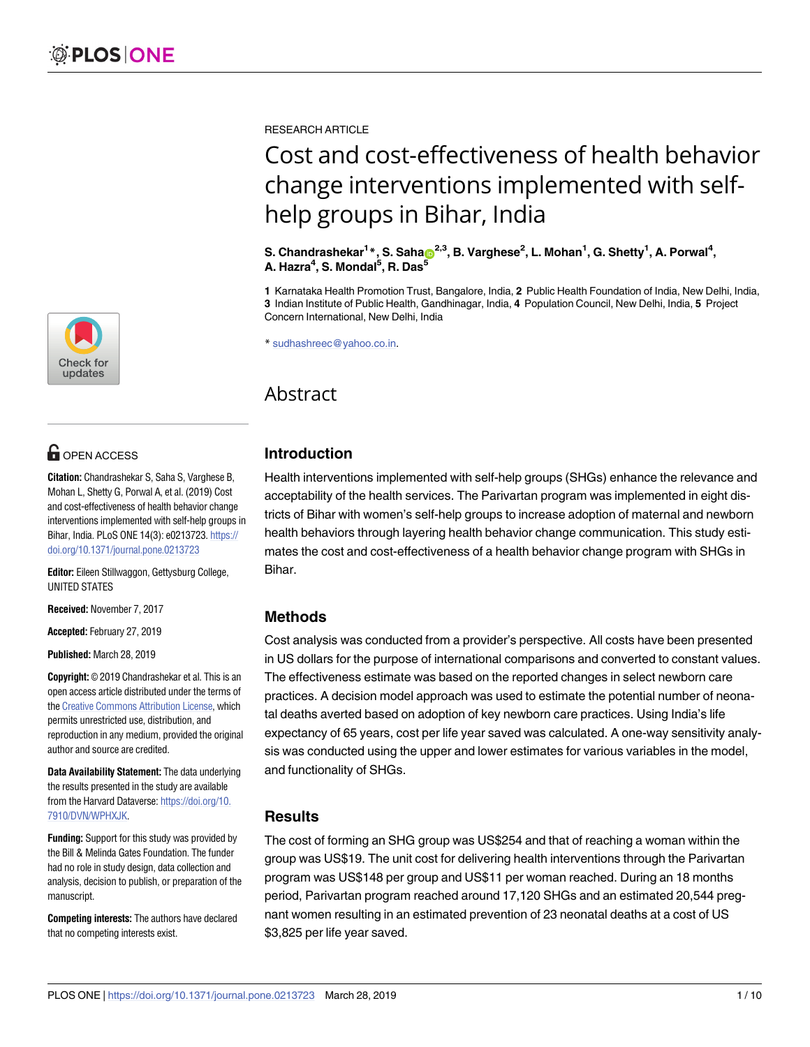

# **O** OPEN ACCESS

**Citation:** Chandrashekar S, Saha S, Varghese B, Mohan L, Shetty G, Porwal A, et al. (2019) Cost and cost-effectiveness of health behavior change interventions implemented with self-help groups in Bihar, India. PLoS ONE 14(3): e0213723. [https://](https://doi.org/10.1371/journal.pone.0213723) [doi.org/10.1371/journal.pone.0213723](https://doi.org/10.1371/journal.pone.0213723)

**Editor:** Eileen Stillwaggon, Gettysburg College, UNITED STATES

**Received:** November 7, 2017

**Accepted:** February 27, 2019

**Published:** March 28, 2019

**Copyright:** © 2019 Chandrashekar et al. This is an open access article distributed under the terms of the Creative [Commons](http://creativecommons.org/licenses/by/4.0/) Attribution License, which permits unrestricted use, distribution, and reproduction in any medium, provided the original author and source are credited.

**Data Availability Statement:** The data underlying the results presented in the study are available from the Harvard Dataverse: [https://doi.org/10.](https://doi.org/10.7910/DVN/WPHXJK) [7910/DVN/WPHXJK](https://doi.org/10.7910/DVN/WPHXJK).

**Funding:** Support for this study was provided by the Bill & Melinda Gates Foundation. The funder had no role in study design, data collection and analysis, decision to publish, or preparation of the manuscript.

**Competing interests:** The authors have declared that no competing interests exist.

RESEARCH ARTICLE

# Cost and cost-effectiveness of health behavior change interventions implemented with selfhelp groups in Bihar, India

S. Chandrashekar<sup>1</sup>\*, S. Saha⑥<sup>2,3</sup>, B. Varghese<sup>2</sup>, L. Mohan<sup>1</sup>, G. Shetty<sup>1</sup>, A. Porwal<sup>4</sup>, **A. Hazra4 , S. Mondal5 , R. Das<sup>5</sup>**

**1** Karnataka Health Promotion Trust, Bangalore, India, **2** Public Health Foundation of India, New Delhi, India, **3** Indian Institute of Public Health, Gandhinagar, India, **4** Population Council, New Delhi, India, **5** Project Concern International, New Delhi, India

\* sudhashreec@yahoo.co.in.

# Abstract

# **Introduction**

Health interventions implemented with self-help groups (SHGs) enhance the relevance and acceptability of the health services. The Parivartan program was implemented in eight districts of Bihar with women's self-help groups to increase adoption of maternal and newborn health behaviors through layering health behavior change communication. This study estimates the cost and cost-effectiveness of a health behavior change program with SHGs in Bihar.

# **Methods**

Cost analysis was conducted from a provider's perspective. All costs have been presented in US dollars for the purpose of international comparisons and converted to constant values. The effectiveness estimate was based on the reported changes in select newborn care practices. A decision model approach was used to estimate the potential number of neonatal deaths averted based on adoption of key newborn care practices. Using India's life expectancy of 65 years, cost per life year saved was calculated. A one-way sensitivity analysis was conducted using the upper and lower estimates for various variables in the model, and functionality of SHGs.

# **Results**

The cost of forming an SHG group was US\$254 and that of reaching a woman within the group was US\$19. The unit cost for delivering health interventions through the Parivartan program was US\$148 per group and US\$11 per woman reached. During an 18 months period, Parivartan program reached around 17,120 SHGs and an estimated 20,544 pregnant women resulting in an estimated prevention of 23 neonatal deaths at a cost of US \$3,825 per life year saved.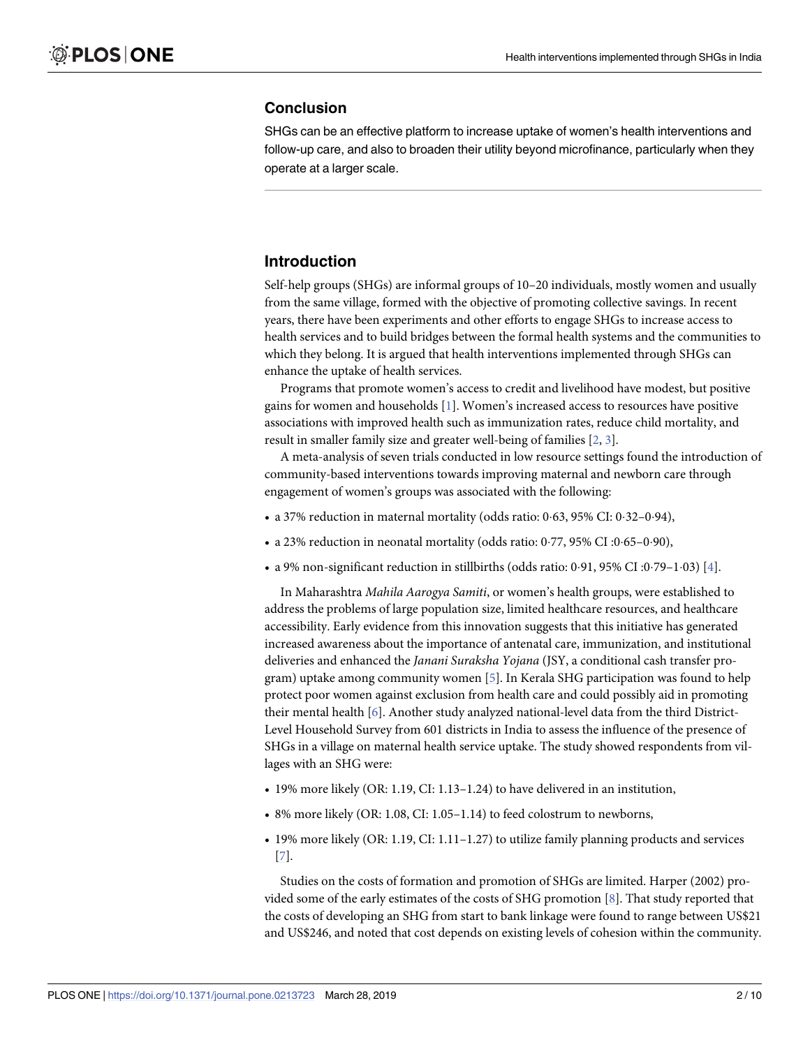# <span id="page-1-0"></span>**Conclusion**

SHGs can be an effective platform to increase uptake of women's health interventions and follow-up care, and also to broaden their utility beyond microfinance, particularly when they operate at a larger scale.

# **Introduction**

Self-help groups (SHGs) are informal groups of 10–20 individuals, mostly women and usually from the same village, formed with the objective of promoting collective savings. In recent years, there have been experiments and other efforts to engage SHGs to increase access to health services and to build bridges between the formal health systems and the communities to which they belong. It is argued that health interventions implemented through SHGs can enhance the uptake of health services.

Programs that promote women's access to credit and livelihood have modest, but positive gains for women and households [[1\]](#page-8-0). Women's increased access to resources have positive associations with improved health such as immunization rates, reduce child mortality, and result in smaller family size and greater well-being of families [\[2,](#page-8-0) [3](#page-8-0)].

A meta-analysis of seven trials conducted in low resource settings found the introduction of community-based interventions towards improving maternal and newborn care through engagement of women's groups was associated with the following:

- a 37% reduction in maternal mortality (odds ratio: 0 $\cdot$  63, 95% CI: 0 $\cdot$  32-0 $\cdot$ 94),
- a 23% reduction in neonatal mortality (odds ratio: 0.77, 95% CI:0.65-0.90),
- a 9% non-significant reduction in stillbirths (odds ratio:  $0.91$ ,  $95\%$  CI: $0.79-1.03$ ) [[4\]](#page-8-0).

In Maharashtra *Mahila Aarogya Samiti*, or women's health groups, were established to address the problems of large population size, limited healthcare resources, and healthcare accessibility. Early evidence from this innovation suggests that this initiative has generated increased awareness about the importance of antenatal care, immunization, and institutional deliveries and enhanced the *Janani Suraksha Yojana* (JSY, a conditional cash transfer program) uptake among community women [[5\]](#page-8-0). In Kerala SHG participation was found to help protect poor women against exclusion from health care and could possibly aid in promoting their mental health [\[6\]](#page-8-0). Another study analyzed national-level data from the third District-Level Household Survey from 601 districts in India to assess the influence of the presence of SHGs in a village on maternal health service uptake. The study showed respondents from villages with an SHG were:

- 19% more likely (OR: 1.19, CI: 1.13–1.24) to have delivered in an institution,
- 8% more likely (OR: 1.08, CI: 1.05–1.14) to feed colostrum to newborns,
- 19% more likely (OR: 1.19, CI: 1.11–1.27) to utilize family planning products and services [\[7\]](#page-8-0).

Studies on the costs of formation and promotion of SHGs are limited. Harper (2002) provided some of the early estimates of the costs of SHG promotion [\[8](#page-8-0)]. That study reported that the costs of developing an SHG from start to bank linkage were found to range between US\$21 and US\$246, and noted that cost depends on existing levels of cohesion within the community.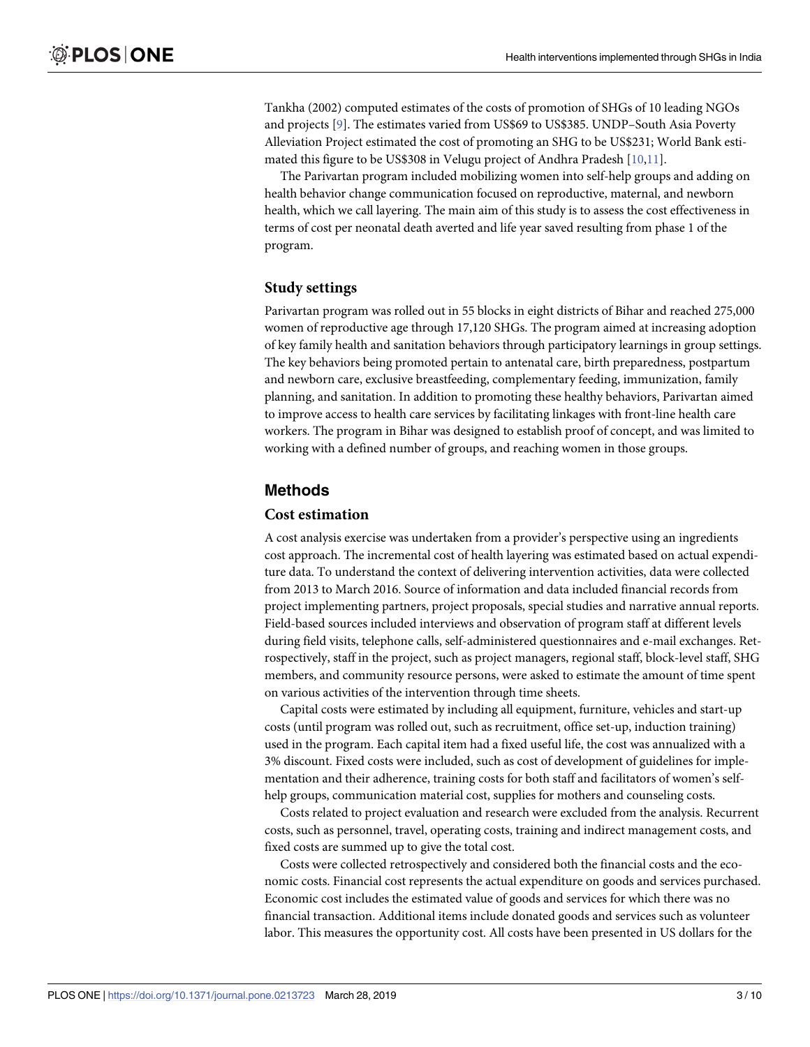<span id="page-2-0"></span>Tankha (2002) computed estimates of the costs of promotion of SHGs of 10 leading NGOs and projects [\[9](#page-8-0)]. The estimates varied from US\$69 to US\$385. UNDP–South Asia Poverty Alleviation Project estimated the cost of promoting an SHG to be US\$231; World Bank estimated this figure to be US\$308 in Velugu project of Andhra Pradesh [\[10,11\]](#page-8-0).

The Parivartan program included mobilizing women into self-help groups and adding on health behavior change communication focused on reproductive, maternal, and newborn health, which we call layering. The main aim of this study is to assess the cost effectiveness in terms of cost per neonatal death averted and life year saved resulting from phase 1 of the program.

### **Study settings**

Parivartan program was rolled out in 55 blocks in eight districts of Bihar and reached 275,000 women of reproductive age through 17,120 SHGs. The program aimed at increasing adoption of key family health and sanitation behaviors through participatory learnings in group settings. The key behaviors being promoted pertain to antenatal care, birth preparedness, postpartum and newborn care, exclusive breastfeeding, complementary feeding, immunization, family planning, and sanitation. In addition to promoting these healthy behaviors, Parivartan aimed to improve access to health care services by facilitating linkages with front-line health care workers. The program in Bihar was designed to establish proof of concept, and was limited to working with a defined number of groups, and reaching women in those groups.

## **Methods**

#### **Cost estimation**

A cost analysis exercise was undertaken from a provider's perspective using an ingredients cost approach. The incremental cost of health layering was estimated based on actual expenditure data. To understand the context of delivering intervention activities, data were collected from 2013 to March 2016. Source of information and data included financial records from project implementing partners, project proposals, special studies and narrative annual reports. Field-based sources included interviews and observation of program staff at different levels during field visits, telephone calls, self-administered questionnaires and e-mail exchanges. Retrospectively, staff in the project, such as project managers, regional staff, block-level staff, SHG members, and community resource persons, were asked to estimate the amount of time spent on various activities of the intervention through time sheets.

Capital costs were estimated by including all equipment, furniture, vehicles and start-up costs (until program was rolled out, such as recruitment, office set-up, induction training) used in the program. Each capital item had a fixed useful life, the cost was annualized with a 3% discount. Fixed costs were included, such as cost of development of guidelines for implementation and their adherence, training costs for both staff and facilitators of women's selfhelp groups, communication material cost, supplies for mothers and counseling costs.

Costs related to project evaluation and research were excluded from the analysis. Recurrent costs, such as personnel, travel, operating costs, training and indirect management costs, and fixed costs are summed up to give the total cost.

Costs were collected retrospectively and considered both the financial costs and the economic costs. Financial cost represents the actual expenditure on goods and services purchased. Economic cost includes the estimated value of goods and services for which there was no financial transaction. Additional items include donated goods and services such as volunteer labor. This measures the opportunity cost. All costs have been presented in US dollars for the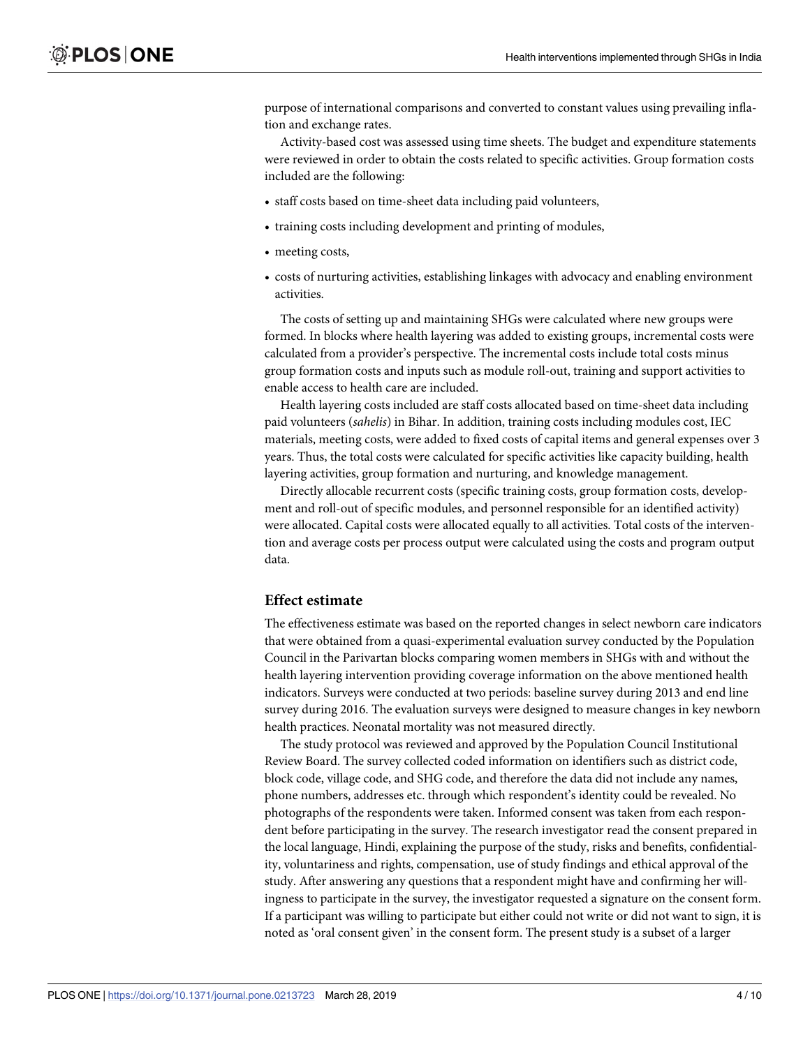purpose of international comparisons and converted to constant values using prevailing inflation and exchange rates.

Activity-based cost was assessed using time sheets. The budget and expenditure statements were reviewed in order to obtain the costs related to specific activities. Group formation costs included are the following:

- staff costs based on time-sheet data including paid volunteers,
- training costs including development and printing of modules,
- meeting costs,
- costs of nurturing activities, establishing linkages with advocacy and enabling environment activities.

The costs of setting up and maintaining SHGs were calculated where new groups were formed. In blocks where health layering was added to existing groups, incremental costs were calculated from a provider's perspective. The incremental costs include total costs minus group formation costs and inputs such as module roll-out, training and support activities to enable access to health care are included.

Health layering costs included are staff costs allocated based on time-sheet data including paid volunteers (*sahelis*) in Bihar. In addition, training costs including modules cost, IEC materials, meeting costs, were added to fixed costs of capital items and general expenses over 3 years. Thus, the total costs were calculated for specific activities like capacity building, health layering activities, group formation and nurturing, and knowledge management.

Directly allocable recurrent costs (specific training costs, group formation costs, development and roll-out of specific modules, and personnel responsible for an identified activity) were allocated. Capital costs were allocated equally to all activities. Total costs of the intervention and average costs per process output were calculated using the costs and program output data.

#### **Effect estimate**

The effectiveness estimate was based on the reported changes in select newborn care indicators that were obtained from a quasi-experimental evaluation survey conducted by the Population Council in the Parivartan blocks comparing women members in SHGs with and without the health layering intervention providing coverage information on the above mentioned health indicators. Surveys were conducted at two periods: baseline survey during 2013 and end line survey during 2016. The evaluation surveys were designed to measure changes in key newborn health practices. Neonatal mortality was not measured directly.

The study protocol was reviewed and approved by the Population Council Institutional Review Board. The survey collected coded information on identifiers such as district code, block code, village code, and SHG code, and therefore the data did not include any names, phone numbers, addresses etc. through which respondent's identity could be revealed. No photographs of the respondents were taken. Informed consent was taken from each respondent before participating in the survey. The research investigator read the consent prepared in the local language, Hindi, explaining the purpose of the study, risks and benefits, confidentiality, voluntariness and rights, compensation, use of study findings and ethical approval of the study. After answering any questions that a respondent might have and confirming her willingness to participate in the survey, the investigator requested a signature on the consent form. If a participant was willing to participate but either could not write or did not want to sign, it is noted as 'oral consent given' in the consent form. The present study is a subset of a larger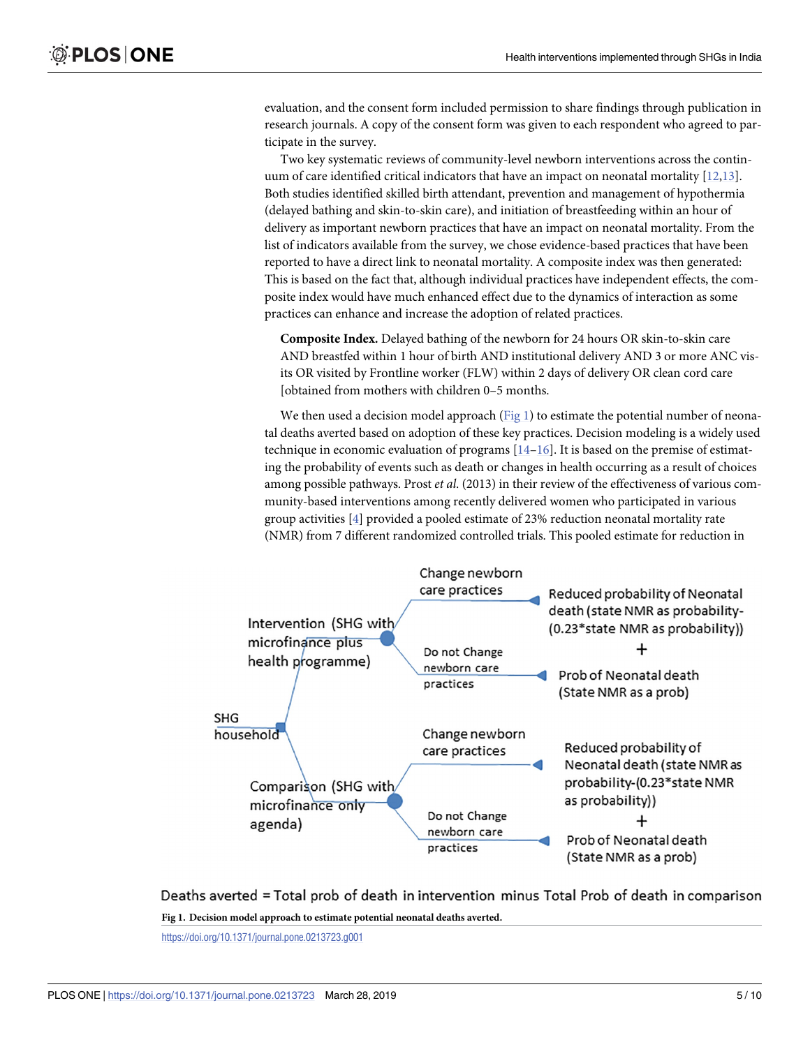<span id="page-4-0"></span>evaluation, and the consent form included permission to share findings through publication in research journals. A copy of the consent form was given to each respondent who agreed to participate in the survey.

Two key systematic reviews of community-level newborn interventions across the continuum of care identified critical indicators that have an impact on neonatal mortality [\[12,13\]](#page-8-0). Both studies identified skilled birth attendant, prevention and management of hypothermia (delayed bathing and skin-to-skin care), and initiation of breastfeeding within an hour of delivery as important newborn practices that have an impact on neonatal mortality. From the list of indicators available from the survey, we chose evidence-based practices that have been reported to have a direct link to neonatal mortality. A composite index was then generated: This is based on the fact that, although individual practices have independent effects, the composite index would have much enhanced effect due to the dynamics of interaction as some practices can enhance and increase the adoption of related practices.

**Composite Index.** Delayed bathing of the newborn for 24 hours OR skin-to-skin care AND breastfed within 1 hour of birth AND institutional delivery AND 3 or more ANC visits OR visited by Frontline worker (FLW) within 2 days of delivery OR clean cord care [obtained from mothers with children 0–5 months.

We then used a decision model approach (Fig 1) to estimate the potential number of neonatal deaths averted based on adoption of these key practices. Decision modeling is a widely used technique in economic evaluation of programs  $[14-16]$  $[14-16]$  $[14-16]$ . It is based on the premise of estimating the probability of events such as death or changes in health occurring as a result of choices among possible pathways. Prost *et al*. (2013) in their review of the effectiveness of various community-based interventions among recently delivered women who participated in various group activities [[4](#page-8-0)] provided a pooled estimate of 23% reduction neonatal mortality rate (NMR) from 7 different randomized controlled trials. This pooled estimate for reduction in



Deaths averted = Total prob of death in intervention minus Total Prob of death in comparison **Fig 1. Decision model approach to estimate potential neonatal deaths averted.**

<https://doi.org/10.1371/journal.pone.0213723.g001>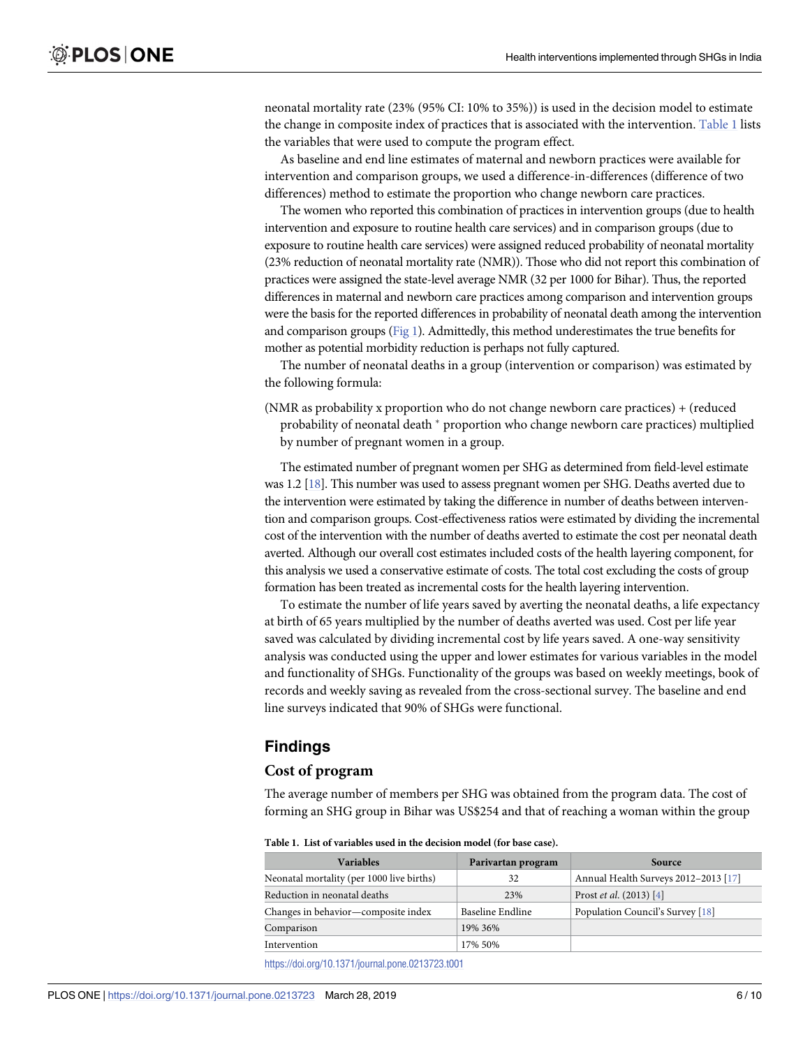<span id="page-5-0"></span>neonatal mortality rate (23% (95% CI: 10% to 35%)) is used in the decision model to estimate the change in composite index of practices that is associated with the intervention. Table 1 lists the variables that were used to compute the program effect.

As baseline and end line estimates of maternal and newborn practices were available for intervention and comparison groups, we used a difference-in-differences (difference of two differences) method to estimate the proportion who change newborn care practices.

The women who reported this combination of practices in intervention groups (due to health intervention and exposure to routine health care services) and in comparison groups (due to exposure to routine health care services) were assigned reduced probability of neonatal mortality (23% reduction of neonatal mortality rate (NMR)). Those who did not report this combination of practices were assigned the state-level average NMR (32 per 1000 for Bihar). Thus, the reported differences in maternal and newborn care practices among comparison and intervention groups were the basis for the reported differences in probability of neonatal death among the intervention and comparison groups [\(Fig](#page-4-0) 1). Admittedly, this method underestimates the true benefits for mother as potential morbidity reduction is perhaps not fully captured.

The number of neonatal deaths in a group (intervention or comparison) was estimated by the following formula:

(NMR as probability x proportion who do not change newborn care practices) + (reduced probability of neonatal death � proportion who change newborn care practices) multiplied by number of pregnant women in a group.

The estimated number of pregnant women per SHG as determined from field-level estimate was 1.2 [\[18](#page-9-0)]. This number was used to assess pregnant women per SHG. Deaths averted due to the intervention were estimated by taking the difference in number of deaths between intervention and comparison groups. Cost-effectiveness ratios were estimated by dividing the incremental cost of the intervention with the number of deaths averted to estimate the cost per neonatal death averted. Although our overall cost estimates included costs of the health layering component, for this analysis we used a conservative estimate of costs. The total cost excluding the costs of group formation has been treated as incremental costs for the health layering intervention.

To estimate the number of life years saved by averting the neonatal deaths, a life expectancy at birth of 65 years multiplied by the number of deaths averted was used. Cost per life year saved was calculated by dividing incremental cost by life years saved. A one-way sensitivity analysis was conducted using the upper and lower estimates for various variables in the model and functionality of SHGs. Functionality of the groups was based on weekly meetings, book of records and weekly saving as revealed from the cross-sectional survey. The baseline and end line surveys indicated that 90% of SHGs were functional.

# **Findings**

### **Cost of program**

The average number of members per SHG was obtained from the program data. The cost of forming an SHG group in Bihar was US\$254 and that of reaching a woman within the group

**Table 1. List of variables used in the decision model (for base case).**

| 32               | Annual Health Surveys 2012-2013 [17] |
|------------------|--------------------------------------|
| 23%              | Prost <i>et al.</i> $(2013)$ [4]     |
| Baseline Endline | Population Council's Survey [18]     |
| 19% 36%          |                                      |
| 17% 50%          |                                      |
|                  |                                      |

<https://doi.org/10.1371/journal.pone.0213723.t001>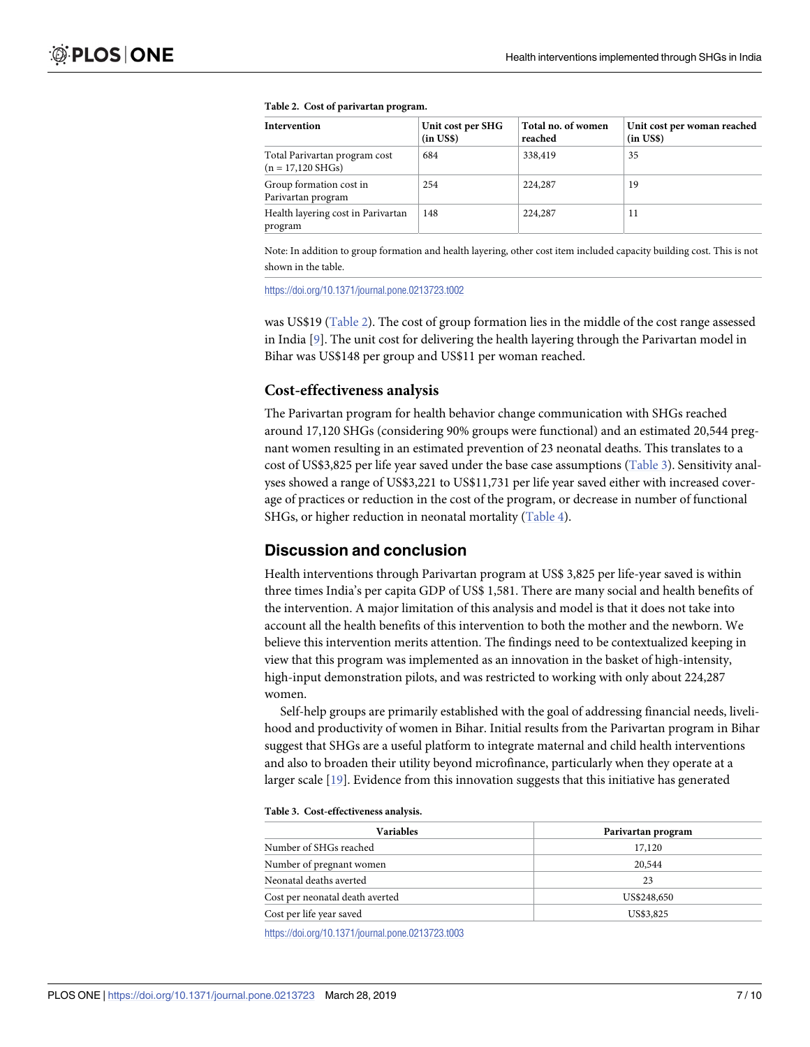| <b>Intervention</b>                                  | Unit cost per SHG<br>$(in \; US\$ | Total no. of women<br>reached | Unit cost per woman reached<br>$(in \; US\$ |
|------------------------------------------------------|-----------------------------------|-------------------------------|---------------------------------------------|
| Total Parivartan program cost<br>$(n = 17,120$ SHGs) | 684                               | 338,419                       | 35                                          |
| Group formation cost in<br>Parivartan program        | 254                               | 224,287                       | 19                                          |
| Health layering cost in Parivartan<br>program        | 148                               | 224,287                       | 11                                          |

#### <span id="page-6-0"></span>**Table 2. Cost of parivartan program.**

Note: In addition to group formation and health layering, other cost item included capacity building cost. This is not shown in the table.

<https://doi.org/10.1371/journal.pone.0213723.t002>

was US\$19 (Table 2). The cost of group formation lies in the middle of the cost range assessed in India [\[9\]](#page-8-0). The unit cost for delivering the health layering through the Parivartan model in Bihar was US\$148 per group and US\$11 per woman reached.

#### **Cost-effectiveness analysis**

The Parivartan program for health behavior change communication with SHGs reached around 17,120 SHGs (considering 90% groups were functional) and an estimated 20,544 pregnant women resulting in an estimated prevention of 23 neonatal deaths. This translates to a cost of US\$3,825 per life year saved under the base case assumptions (Table 3). Sensitivity analyses showed a range of US\$3,221 to US\$11,731 per life year saved either with increased coverage of practices or reduction in the cost of the program, or decrease in number of functional SHGs, or higher reduction in neonatal mortality [\(Table](#page-7-0) 4).

# **Discussion and conclusion**

Health interventions through Parivartan program at US\$ 3,825 per life-year saved is within three times India's per capita GDP of US\$ 1,581. There are many social and health benefits of the intervention. A major limitation of this analysis and model is that it does not take into account all the health benefits of this intervention to both the mother and the newborn. We believe this intervention merits attention. The findings need to be contextualized keeping in view that this program was implemented as an innovation in the basket of high-intensity, high-input demonstration pilots, and was restricted to working with only about 224,287 women.

Self-help groups are primarily established with the goal of addressing financial needs, livelihood and productivity of women in Bihar. Initial results from the Parivartan program in Bihar suggest that SHGs are a useful platform to integrate maternal and child health interventions and also to broaden their utility beyond microfinance, particularly when they operate at a larger scale [[19](#page-9-0)]. Evidence from this innovation suggests that this initiative has generated

#### **Table 3. Cost-effectiveness analysis.**

| <b>Variables</b>                | Parivartan program |  |  |
|---------------------------------|--------------------|--|--|
| Number of SHGs reached          | 17,120             |  |  |
| Number of pregnant women        | 20,544             |  |  |
| Neonatal deaths averted         | 23                 |  |  |
| Cost per neonatal death averted | US\$248,650        |  |  |
| Cost per life year saved        | US\$3,825          |  |  |

<https://doi.org/10.1371/journal.pone.0213723.t003>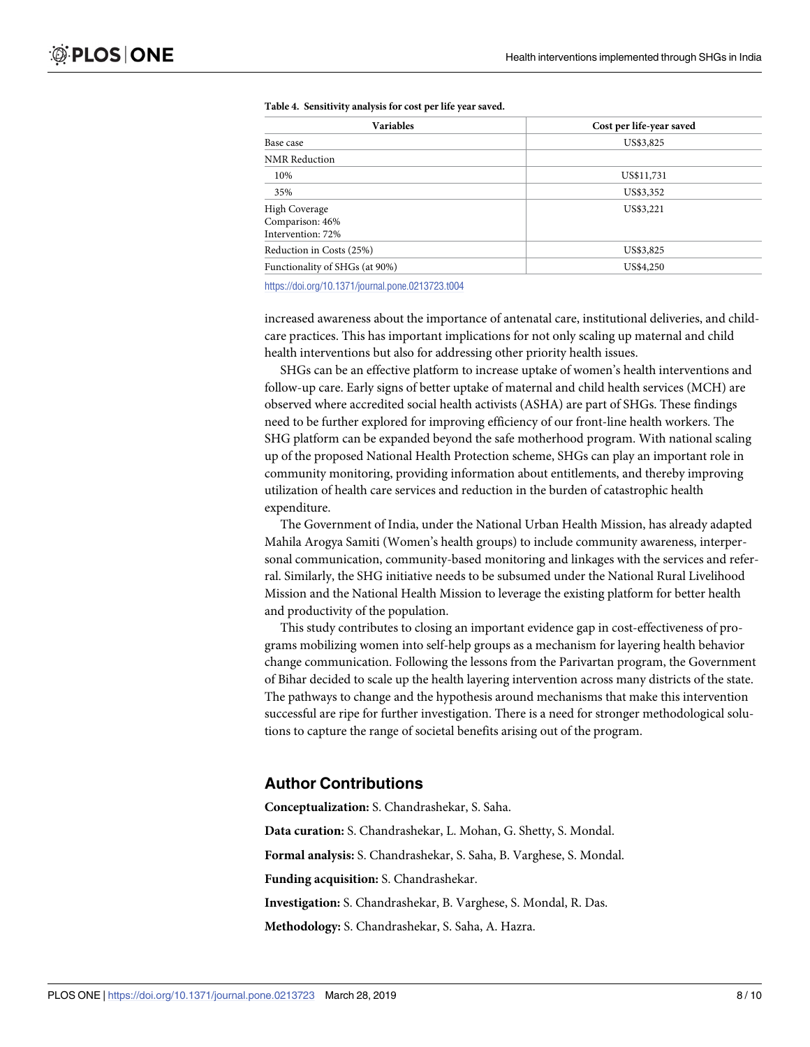| <b>Variables</b>               | Cost per life-year saved |  |  |
|--------------------------------|--------------------------|--|--|
| Base case                      | US\$3,825                |  |  |
| <b>NMR</b> Reduction           |                          |  |  |
| 10%                            | US\$11,731               |  |  |
| 35%                            | US\$3,352                |  |  |
| High Coverage                  | US\$3,221                |  |  |
| Comparison: 46%                |                          |  |  |
| Intervention: 72%              |                          |  |  |
| Reduction in Costs (25%)       | US\$3,825                |  |  |
| Functionality of SHGs (at 90%) | US\$4,250                |  |  |

#### <span id="page-7-0"></span>**[Table](#page-6-0) 4. Sensitivity analysis for cost per life year saved.**

<https://doi.org/10.1371/journal.pone.0213723.t004>

increased awareness about the importance of antenatal care, institutional deliveries, and childcare practices. This has important implications for not only scaling up maternal and child health interventions but also for addressing other priority health issues.

SHGs can be an effective platform to increase uptake of women's health interventions and follow-up care. Early signs of better uptake of maternal and child health services (MCH) are observed where accredited social health activists (ASHA) are part of SHGs. These findings need to be further explored for improving efficiency of our front-line health workers. The SHG platform can be expanded beyond the safe motherhood program. With national scaling up of the proposed National Health Protection scheme, SHGs can play an important role in community monitoring, providing information about entitlements, and thereby improving utilization of health care services and reduction in the burden of catastrophic health expenditure.

The Government of India, under the National Urban Health Mission, has already adapted Mahila Arogya Samiti (Women's health groups) to include community awareness, interpersonal communication, community-based monitoring and linkages with the services and referral. Similarly, the SHG initiative needs to be subsumed under the National Rural Livelihood Mission and the National Health Mission to leverage the existing platform for better health and productivity of the population.

This study contributes to closing an important evidence gap in cost-effectiveness of programs mobilizing women into self-help groups as a mechanism for layering health behavior change communication. Following the lessons from the Parivartan program, the Government of Bihar decided to scale up the health layering intervention across many districts of the state. The pathways to change and the hypothesis around mechanisms that make this intervention successful are ripe for further investigation. There is a need for stronger methodological solutions to capture the range of societal benefits arising out of the program.

# **Author Contributions**

**Conceptualization:** S. Chandrashekar, S. Saha. **Data curation:** S. Chandrashekar, L. Mohan, G. Shetty, S. Mondal. **Formal analysis:** S. Chandrashekar, S. Saha, B. Varghese, S. Mondal. **Funding acquisition:** S. Chandrashekar. **Investigation:** S. Chandrashekar, B. Varghese, S. Mondal, R. Das. **Methodology:** S. Chandrashekar, S. Saha, A. Hazra.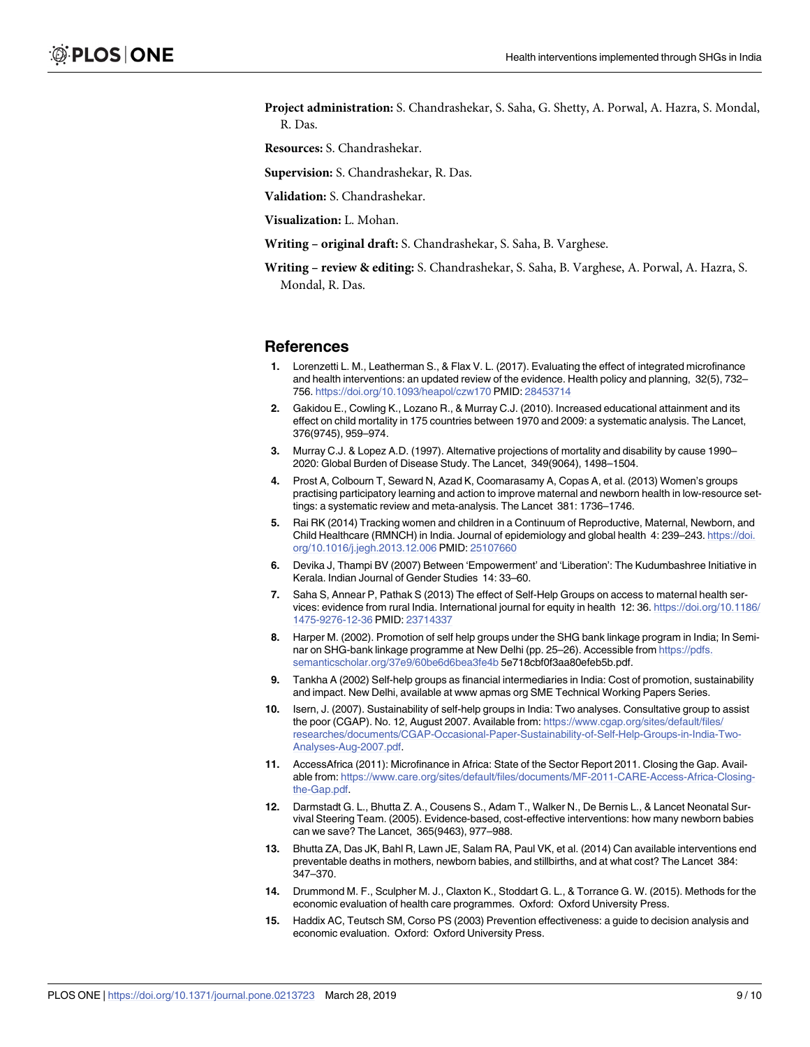<span id="page-8-0"></span>**Project administration:** S. Chandrashekar, S. Saha, G. Shetty, A. Porwal, A. Hazra, S. Mondal, R. Das.

**Resources:** S. Chandrashekar.

**Supervision:** S. Chandrashekar, R. Das.

**Validation:** S. Chandrashekar.

**Visualization:** L. Mohan.

**Writing – original draft:** S. Chandrashekar, S. Saha, B. Varghese.

**Writing – review & editing:** S. Chandrashekar, S. Saha, B. Varghese, A. Porwal, A. Hazra, S. Mondal, R. Das.

#### **References**

- **[1](#page-1-0).** Lorenzetti L. M., Leatherman S., & Flax V. L. (2017). Evaluating the effect of integrated microfinance and health interventions: an updated review of the evidence. Health policy and planning, 32(5), 732– 756. <https://doi.org/10.1093/heapol/czw170> PMID: [28453714](http://www.ncbi.nlm.nih.gov/pubmed/28453714)
- **[2](#page-1-0).** Gakidou E., Cowling K., Lozano R., & Murray C.J. (2010). Increased educational attainment and its effect on child mortality in 175 countries between 1970 and 2009: a systematic analysis. The Lancet, 376(9745), 959–974.
- **[3](#page-1-0).** Murray C.J. & Lopez A.D. (1997). Alternative projections of mortality and disability by cause 1990– 2020: Global Burden of Disease Study. The Lancet, 349(9064), 1498–1504.
- **[4](#page-1-0).** Prost A, Colbourn T, Seward N, Azad K, Coomarasamy A, Copas A, et al. (2013) Women's groups practising participatory learning and action to improve maternal and newborn health in low-resource settings: a systematic review and meta-analysis. The Lancet 381: 1736–1746.
- **[5](#page-1-0).** Rai RK (2014) Tracking women and children in a Continuum of Reproductive, Maternal, Newborn, and Child Healthcare (RMNCH) in India. Journal of epidemiology and global health 4: 239–243. [https://doi.](https://doi.org/10.1016/j.jegh.2013.12.006) [org/10.1016/j.jegh.2013.12.006](https://doi.org/10.1016/j.jegh.2013.12.006) PMID: [25107660](http://www.ncbi.nlm.nih.gov/pubmed/25107660)
- **[6](#page-1-0).** Devika J, Thampi BV (2007) Between 'Empowerment' and 'Liberation': The Kudumbashree Initiative in Kerala. Indian Journal of Gender Studies 14: 33–60.
- **[7](#page-1-0).** Saha S, Annear P, Pathak S (2013) The effect of Self-Help Groups on access to maternal health services: evidence from rural India. International journal for equity in health 12: 36. [https://doi.org/10.1186/](https://doi.org/10.1186/1475-9276-12-36) [1475-9276-12-36](https://doi.org/10.1186/1475-9276-12-36) PMID: [23714337](http://www.ncbi.nlm.nih.gov/pubmed/23714337)
- **[8](#page-1-0).** Harper M. (2002). Promotion of self help groups under the SHG bank linkage program in India; In Seminar on SHG-bank linkage programme at New Delhi (pp. 25–26). Accessible from [https://pdfs.](https://pdfs.semanticscholar.org/37e9/60be6d6bea3fe4b) [semanticscholar.org/37e9/60be6d6bea3fe4b](https://pdfs.semanticscholar.org/37e9/60be6d6bea3fe4b) 5e718cbf0f3aa80efeb5b.pdf.
- **[9](#page-2-0).** Tankha A (2002) Self-help groups as financial intermediaries in India: Cost of promotion, sustainability and impact. New Delhi, available at www apmas org SME Technical Working Papers Series.
- **[10](#page-2-0).** Isern, J. (2007). Sustainability of self-help groups in India: Two analyses. Consultative group to assist the poor (CGAP). No. 12, August 2007. Available from: [https://www.cgap.org/sites/default/files/](https://www.cgap.org/sites/default/files/researches/documents/CGAP-Occasional-Paper-Sustainability-of-Self-Help-Groups-in-India-Two-Analyses-Aug-2007.pdf) [researches/documents/CGAP-Occasional-Paper-Sustainability-of-Self-Help-Groups-in-India-Two-](https://www.cgap.org/sites/default/files/researches/documents/CGAP-Occasional-Paper-Sustainability-of-Self-Help-Groups-in-India-Two-Analyses-Aug-2007.pdf)[Analyses-Aug-2007.pdf](https://www.cgap.org/sites/default/files/researches/documents/CGAP-Occasional-Paper-Sustainability-of-Self-Help-Groups-in-India-Two-Analyses-Aug-2007.pdf).
- **[11](#page-2-0).** AccessAfrica (2011): Microfinance in Africa: State of the Sector Report 2011. Closing the Gap. Available from: [https://www.care.org/sites/default/files/documents/MF-2011-CARE-Access-Africa-Closing](https://www.care.org/sites/default/files/documents/MF-2011-CARE-Access-Africa-Closing-the-Gap.pdf)[the-Gap.pdf](https://www.care.org/sites/default/files/documents/MF-2011-CARE-Access-Africa-Closing-the-Gap.pdf).
- **[12](#page-4-0).** Darmstadt G. L., Bhutta Z. A., Cousens S., Adam T., Walker N., De Bernis L., & Lancet Neonatal Survival Steering Team. (2005). Evidence-based, cost-effective interventions: how many newborn babies can we save? The Lancet, 365(9463), 977–988.
- **[13](#page-4-0).** Bhutta ZA, Das JK, Bahl R, Lawn JE, Salam RA, Paul VK, et al. (2014) Can available interventions end preventable deaths in mothers, newborn babies, and stillbirths, and at what cost? The Lancet 384: 347–370.
- **[14](#page-4-0).** Drummond M. F., Sculpher M. J., Claxton K., Stoddart G. L., & Torrance G. W. (2015). Methods for the economic evaluation of health care programmes. Oxford: Oxford University Press.
- **15.** Haddix AC, Teutsch SM, Corso PS (2003) Prevention effectiveness: a guide to decision analysis and economic evaluation. Oxford: Oxford University Press.